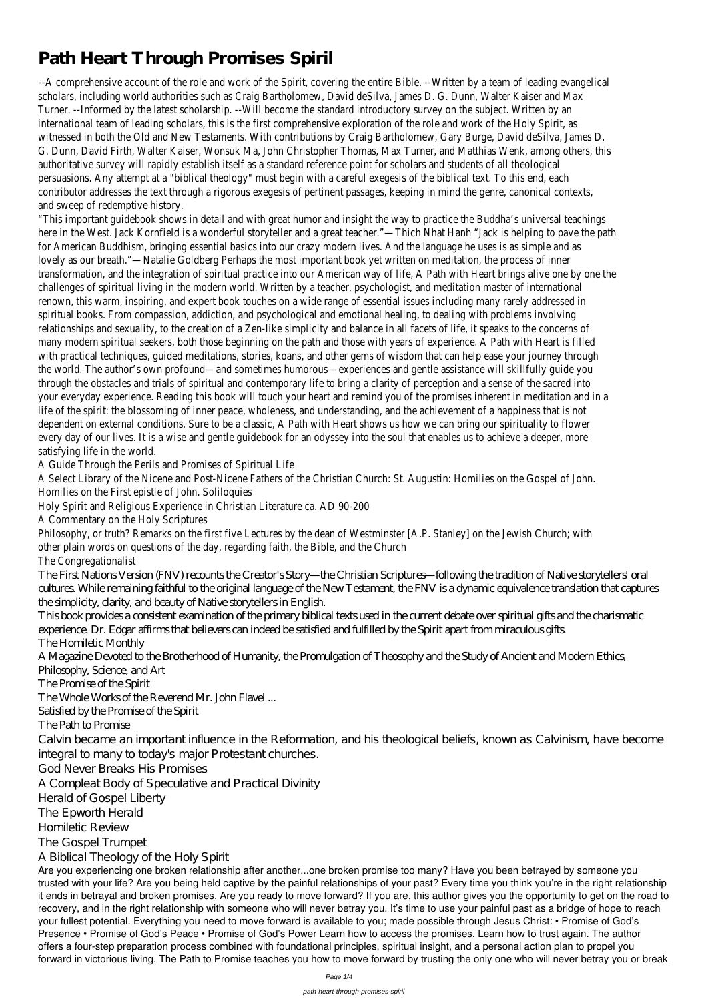## **Path Heart Through Promises Spiril**

--A comprehensive account of the role and work of the Spirit, covering the entire Bible. --Written by scholars, including world authorities such as Craig Bartholomew, David deSilva, James D. G. D Turner. --Informed by the latest scholarship. --Will become the standard introductory survey on international team of leading scholars, this is the first comprehensive exploration of the role are witnessed in both the Old and New Testaments. With contributions by Craig Bartholomew, Gary B G. Dunn, David Firth, Walter Kaiser, Wonsuk Ma, John Christopher Thomas, Max Turner, and Matth authoritative survey will rapidly establish itself as a standard reference point for scholars and persuasions. Any attempt at a "biblical theology" must begin with a careful exegesis of the bi contributor addresses the text through a rigorous exegesis of pertinent passages, keeping in mind and sweep of redemptive.

"This important guidebook shows in detail and with great humor and insight the way to practice the here in the West. Jack Kornfield is a wonderful storyteller and a great teacher."—Thich Nhat Hanh "Ja for American Buddhism, bringing essential basics into our crazy modern lives. And the language lovely as our breath."—Natalie Goldberg Perhaps the most important book yet written on med transformation, and the integration of spiritual practice into our American way of life, A Path with He challenges of spiritual living in the modern world. Written by a teacher, psychologist, and meditation master renown, this warm, inspiring, and expert book touches on a wide range of essential issues included range of essential inductional many range including many rate. spiritual books. From compassion, addiction, and psychological and emotional healing, to deal relationships and sexuality, to the creation of a Zen-like simplicity and balance in all facets of life, many modern spiritual seekers, both those beginning on the path and those with years of experien with practical techniques, quided meditations, stories, koans, and other gems of wisdom that can help the world. The author's own profound—and sometimes humorous—experiences and gentle assis through the obstacles and trials of spiritual and contemporary life to bring a clarity of perception and sense of the sacred into the same same. your everyday experience. Reading this book will touch your heart and remind you of the promises in life of the spirit: the blossoming of inner peace, wholeness, and understanding, and the achievement dependent on external conditions. Sure to be a classic, A Path with Heart shows us how we can b every day of our lives. It is a wise and gentle guidebook for an odyssey into the soul that enables satisfying life in the

A Guide Through the Perils and Promises of

A Select Library of the Nicene and Post-Nicene Fathers of the Christian Church: St. Augustin: Homilies on the Gospel of John.

Homilies on the First epistle of John. Holy Spirit and Religious Experience in Christian Literature

A Commentary on the Holy Sore

Philosophy, or truth? Remarks on the first five Lectures by the dean of Westminster [A.P. Stanley] other plain words on questions of the day, regarding faith, the Bi

The Congregation

The First Nations Version (FNV) recounts the Creator's Story—the Christian Scriptures—following the tradition of Native storytellers' oral cultures. While remaining faithful to the original language of the New Testament, the FNV is a dynamic equivalence translation that captures the simplicity, clarity, and beauty of Native storytellers in English.

This book provides a consistent examination of the primary biblical texts used in the current debate over spiritual gifts and the charismatic experience. Dr. Edgar affirms that believers can indeed be satisfied and fulfilled by the Spirit apart from miraculous gifts. The Homiletic Monthly

A Magazine Devoted to the Brotherhood of Humanity, the Promulgation of Theosophy and the Study of Ancient and Modern Ethics, Philosophy, Science, and Art The Promise of the Spirit The Whole Works of the Reverend Mr. John Flavel ...

Satisfied by the Promise of the Spirit

The Path to Promise

Calvin became an important influence in the Reformation, and his theological beliefs, known as Calvinism, have become integral to many to today's major Protestant churches.

God Never Breaks His Promises

A Compleat Body of Speculative and Practical Divinity Herald of Gospel Liberty The Epworth Herald Homiletic Review The Gospel Trumpet A Biblical Theology of the Holy Spirit

Are you experiencing one broken relationship after another...one broken promise too many? Have you been betrayed by someone you trusted with your life? Are you being held captive by the painful relationships of your past? Every time you think you're in the right relationship it ends in betrayal and broken promises. Are you ready to move forward? If you are, this author gives you the opportunity to get on the road to recovery, and in the right relationship with someone who will never betray you. It's time to use your painful past as a bridge of hope to reach your fullest potential. Everything you need to move forward is available to you; made possible through Jesus Christ: • Promise of God's Presence • Promise of God's Peace • Promise of God's Power Learn how to access the promises. Learn how to trust again. The author offers a four-step preparation process combined with foundational principles, spiritual insight, and a personal action plan to propel you forward in victorious living. The Path to Promise teaches you how to move forward by trusting the only one who will never betray you or break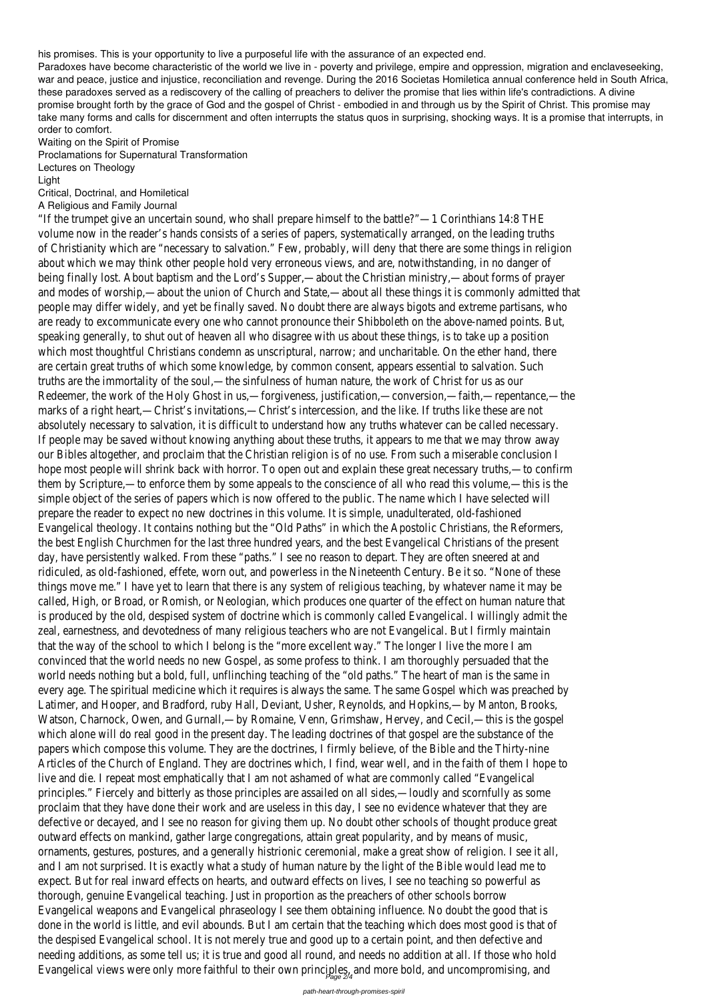his promises. This is your opportunity to live a purposeful life with the assurance of an expected end.

Paradoxes have become characteristic of the world we live in - poverty and privilege, empire and oppression, migration and enclaveseeking, war and peace, justice and injustice, reconciliation and revenge. During the 2016 Societas Homiletica annual conference held in South Africa, these paradoxes served as a rediscovery of the calling of preachers to deliver the promise that lies within life's contradictions. A divine promise brought forth by the grace of God and the gospel of Christ - embodied in and through us by the Spirit of Christ. This promise may take many forms and calls for discernment and often interrupts the status quos in surprising, shocking ways. It is a promise that interrupts, in order to comfort.

"If the trumpet give an uncertain sound, who shall prepare himself to the battle?"—1 Corinthians 14:8 THE volume now in the reader's hands consists of a series of papers, systematically arranged, on the leading truths of Christianity which are "necessary to salvation." Few, probably, will deny that there are some things in religion about which we may think other people hold very erroneous views, and are, notwithstanding, in no danger of being finally lost. About baptism and the Lord's Supper,—about the Christian ministry,—about forms of prayer and modes of worship,—about the union of Church and State,—about all these things it is commonly admitted that people may differ widely, and yet be finally saved. No doubt there are always bigots and extreme partisans, who are ready to excommunicate every one who cannot pronounce their Shibboleth on the above-named points. But, speaking generally, to shut out of heaven all who disagree with us about these things, is to take up a position which most thoughtful Christians condemn as unscriptural, narrow; and uncharitable. On the ether hand, there are certain great truths of which some knowledge, by common consent, appears essential to salvation. Such truths are the immortality of the soul,—the sinfulness of human nature, the work of Christ for us as our Redeemer, the work of the Holy Ghost in us,—forgiveness, justification,—conversion,—faith,—repentance,—the marks of a right heart,—Christ's invitations,—Christ's intercession, and the like. If truths like these are not absolutely necessary to salvation, it is difficult to understand how any truths whatever can be called necessary. If people may be saved without knowing anything about these truths, it appears to me that we may throw away our Bibles altogether, and proclaim that the Christian religion is of no use. From such a miserable conclusion I hope most people will shrink back with horror. To open out and explain these great necessary truths,—to confirm them by Scripture,—to enforce them by some appeals to the conscience of all who read this volume,—this is the simple object of the series of papers which is now offered to the public. The name which I have selected will prepare the reader to expect no new doctrines in this volume. It is simple, unadulterated, old-fashioned Evangelical theology. It contains nothing but the "Old Paths" in which the Apostolic Christians, the Reformers, the best English Churchmen for the last three hundred years, and the best Evangelical Christians of the present day, have persistently walked. From these "paths." I see no reason to depart. They are often sneered at and ridiculed, as old-fashioned, effete, worn out, and powerless in the Nineteenth Century. Be it so. "None of these things move me." I have yet to learn that there is any system of religious teaching, by whatever name it may be called, High, or Broad, or Romish, or Neologian, which produces one quarter of the effect on human nature that is produced by the old, despised system of doctrine which is commonly called Evangelical. I willingly admit the zeal, earnestness, and devotedness of many religious teachers who are not Evangelical. But I firmly maintain that the way of the school to which I belong is the "more excellent way." The longer I live the more I am convinced that the world needs no new Gospel, as some profess to think. I am thoroughly persuaded that the world needs nothing but a bold, full, unflinching teaching of the "old paths." The heart of man is the same in every age. The spiritual medicine which it requires is always the same. The same Gospel which was preached by Latimer, and Hooper, and Bradford, ruby Hall, Deviant, Usher, Reynolds, and Hopkins,—by Manton, Brooks, Watson, Charnock, Owen, and Gurnall,—by Romaine, Venn, Grimshaw, Hervey, and Cecil,—this is the gospel which alone will do real good in the present day. The leading doctrines of that gospel are the substance of the papers which compose this volume. They are the doctrines, I firmly believe, of the Bible and the Thirty-nine Articles of the Church of England. They are doctrines which, I find, wear well, and in the faith of them I hope to live and die. I repeat most emphatically that I am not ashamed of what are commonly called "Evangelical principles." Fiercely and bitterly as those principles are assailed on all sides,—loudly and scornfully as some proclaim that they have done their work and are useless in this day, I see no evidence whatever that they are defective or decayed, and I see no reason for giving them up. No doubt other schools of thought produce great outward effects on mankind, gather large congregations, attain great popularity, and by means of music, ornaments, gestures, postures, and a generally histrionic ceremonial, make a great show of religion. I see it all, and I am not surprised. It is exactly what a study of human nature by the light of the Bible would lead me to expect. But for real inward effects on hearts, and outward effects on lives, I see no teaching so powerful as thorough, genuine Evangelical teaching. Just in proportion as the preachers of other schools borrow Evangelical weapons and Evangelical phraseology I see them obtaining influence. No doubt the good that is done in the world is little, and evil abounds. But I am certain that the teaching which does most good is that of the despised Evangelical school. It is not merely true and good up to a certain point, and then defective and needing additions, as some tell us; it is true and good all round, and needs no addition at all. If those who hold Evangelical views were only more faithful to their own principles, and more bold, and  $\cup$ 

Waiting on the Spirit of Promise

Proclamations for Supernatural Transformation

Lectures on Theology

Light

Critical, Doctrinal, and Homiletical

A Religious and Family Journal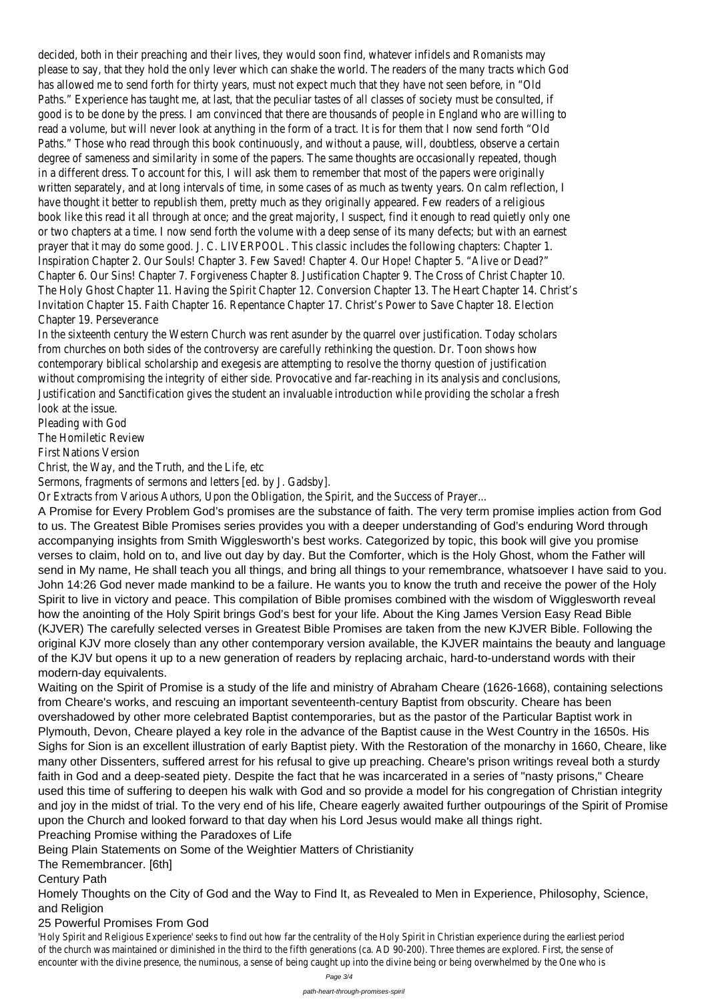decided, both in their preaching and their lives, they would soon find, whatever infidels and Romanists may please to say, that they hold the only lever which can shake the world. The readers of the many tracts which God has allowed me to send forth for thirty years, must not expect much that they have not seen before, in "Old Paths." Experience has taught me, at last, that the peculiar tastes of all classes of society must be consulted, if good is to be done by the press. I am convinced that there are thousands of people in England who are willing to read a volume, but will never look at anything in the form of a tract. It is for them that I now send forth "Old Paths." Those who read through this book continuously, and without a pause, will, doubtless, observe a certain degree of sameness and similarity in some of the papers. The same thoughts are occasionally repeated, though in a different dress. To account for this, I will ask them to remember that most of the papers were originally written separately, and at long intervals of time, in some cases of as much as twenty years. On calm reflection, I have thought it better to republish them, pretty much as they originally appeared. Few readers of a religious book like this read it all through at once; and the great majority, I suspect, find it enough to read quietly only one or two chapters at a time. I now send forth the volume with a deep sense of its many defects; but with an earnest prayer that it may do some good. J. C. LIVERPOOL. This classic includes the following chapters: Chapter 1. Inspiration Chapter 2. Our Souls! Chapter 3. Few Saved! Chapter 4. Our Hope! Chapter 5. "Alive or Dead?" Chapter 6. Our Sins! Chapter 7. Forgiveness Chapter 8. Justification Chapter 9. The Cross of Christ Chapter 10. The Holy Ghost Chapter 11. Having the Spirit Chapter 12. Conversion Chapter 13. The Heart Chapter 14. Christ's Invitation Chapter 15. Faith Chapter 16. Repentance Chapter 17. Christ's Power to Save Chapter 18. Election Chapter 19. Perseverance

In the sixteenth century the Western Church was rent asunder by the quarrel over justification. Today scholars from churches on both sides of the controversy are carefully rethinking the question. Dr. Toon shows how contemporary biblical scholarship and exegesis are attempting to resolve the thorny question of justification without compromising the integrity of either side. Provocative and far-reaching in its analysis and conclusions, Justification and Sanctification gives the student an invaluable introduction while providing the scholar a fresh look at the issue.

Pleading with God

The Homiletic Review

First Nations Version

Christ, the Way, and the Truth, and the Life, etc

Sermons, fragments of sermons and letters [ed. by J. Gadsby].

Or Extracts from Various Authors, Upon the Obligation, the Spirit, and the Success of Prayer...

A Promise for Every Problem God's promises are the substance of faith. The very term promise implies action from God to us. The Greatest Bible Promises series provides you with a deeper understanding of God's enduring Word through accompanying insights from Smith Wigglesworth's best works. Categorized by topic, this book will give you promise verses to claim, hold on to, and live out day by day. But the Comforter, which is the Holy Ghost, whom the Father will send in My name, He shall teach you all things, and bring all things to your remembrance, whatsoever I have said to you. John 14:26 God never made mankind to be a failure. He wants you to know the truth and receive the power of the Holy Spirit to live in victory and peace. This compilation of Bible promises combined with the wisdom of Wigglesworth reveal how the anointing of the Holy Spirit brings God's best for your life. About the King James Version Easy Read Bible (KJVER) The carefully selected verses in Greatest Bible Promises are taken from the new KJVER Bible. Following the original KJV more closely than any other contemporary version available, the KJVER maintains the beauty and language of the KJV but opens it up to a new generation of readers by replacing archaic, hard-to-understand words with their modern-day equivalents.

Waiting on the Spirit of Promise is a study of the life and ministry of Abraham Cheare (1626-1668), containing selections from Cheare's works, and rescuing an important seventeenth-century Baptist from obscurity. Cheare has been overshadowed by other more celebrated Baptist contemporaries, but as the pastor of the Particular Baptist work in Plymouth, Devon, Cheare played a key role in the advance of the Baptist cause in the West Country in the 1650s. His Sighs for Sion is an excellent illustration of early Baptist piety. With the Restoration of the monarchy in 1660, Cheare, like

many other Dissenters, suffered arrest for his refusal to give up preaching. Cheare's prison writings reveal both a sturdy faith in God and a deep-seated piety. Despite the fact that he was incarcerated in a series of "nasty prisons," Cheare used this time of suffering to deepen his walk with God and so provide a model for his congregation of Christian integrity and joy in the midst of trial. To the very end of his life, Cheare eagerly awaited further outpourings of the Spirit of Promise upon the Church and looked forward to that day when his Lord Jesus would make all things right.

Preaching Promise withing the Paradoxes of Life

Being Plain Statements on Some of the Weightier Matters of Christianity

The Remembrancer. [6th]

Century Path

Homely Thoughts on the City of God and the Way to Find It, as Revealed to Men in Experience, Philosophy, Science, and Religion

## 25 Powerful Promises From God

'Holy Spirit and Religious Experience' seeks to find out how far the centrality of the Holy Spirit in Christian experience during the earliest period of the church was maintained or diminished in the third to the fifth generations (ca. AD 90-200). Three themes are explored. First, the sense of encounter with the divine presence, the numinous, a sense of being caught up into the divine being or being overwhelmed by the One who is

Page 3/4